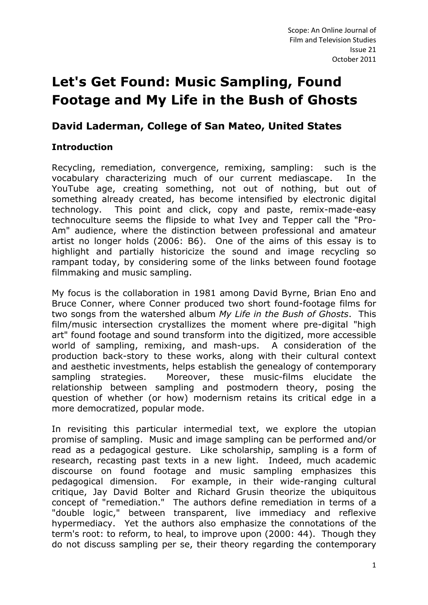# **Let's Get Found: Music Sampling, Found Footage and My Life in the Bush of Ghosts**

# **David Laderman, College of San Mateo, United States**

# **Introduction**

Recycling, remediation, convergence, remixing, sampling: such is the vocabulary characterizing much of our current mediascape. In the YouTube age, creating something, not out of nothing, but out of something already created, has become intensified by electronic digital technology. This point and click, copy and paste, remix-made-easy technoculture seems the flipside to what Ivey and Tepper call the "Pro-Am" audience, where the distinction between professional and amateur artist no longer holds (2006: B6). One of the aims of this essay is to highlight and partially historicize the sound and image recycling so rampant today, by considering some of the links between found footage filmmaking and music sampling.

My focus is the collaboration in 1981 among David Byrne, Brian Eno and Bruce Conner, where Conner produced two short found-footage films for two songs from the watershed album *My Life in the Bush of Ghosts*. This film/music intersection crystallizes the moment where pre-digital "high art" found footage and sound transform into the digitized, more accessible world of sampling, remixing, and mash-ups. A consideration of the production back-story to these works, along with their cultural context and aesthetic investments, helps establish the genealogy of contemporary sampling strategies. Moreover, these music-films elucidate the relationship between sampling and postmodern theory, posing the question of whether (or how) modernism retains its critical edge in a more democratized, popular mode.

In revisiting this particular intermedial text, we explore the utopian promise of sampling. Music and image sampling can be performed and/or read as a pedagogical gesture. Like scholarship, sampling is a form of research, recasting past texts in a new light. Indeed, much academic discourse on found footage and music sampling emphasizes this pedagogical dimension. For example, in their wide-ranging cultural critique, Jay David Bolter and Richard Grusin theorize the ubiquitous concept of "remediation." The authors define remediation in terms of a "double logic," between transparent, live immediacy and reflexive hypermediacy. Yet the authors also emphasize the connotations of the term's root: to reform, to heal, to improve upon (2000: 44). Though they do not discuss sampling per se, their theory regarding the contemporary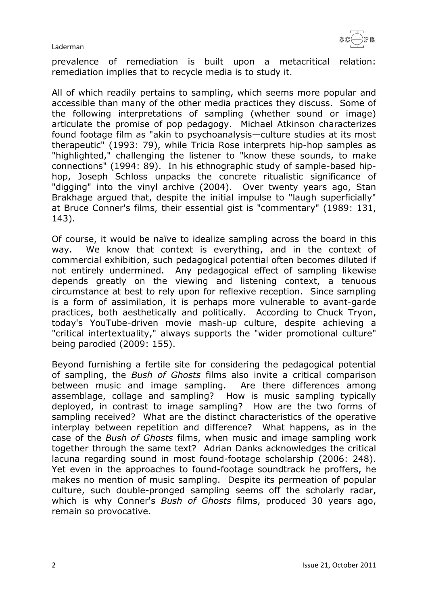

prevalence of remediation is built upon a metacritical relation: remediation implies that to recycle media is to study it.

All of which readily pertains to sampling, which seems more popular and accessible than many of the other media practices they discuss. Some of the following interpretations of sampling (whether sound or image) articulate the promise of pop pedagogy. Michael Atkinson characterizes found footage film as "akin to psychoanalysis—culture studies at its most therapeutic" (1993: 79), while Tricia Rose interprets hip-hop samples as "highlighted," challenging the listener to "know these sounds, to make connections" (1994: 89). In his ethnographic study of sample-based hiphop, Joseph Schloss unpacks the concrete ritualistic significance of "digging" into the vinyl archive (2004). Over twenty years ago, Stan Brakhage argued that, despite the initial impulse to "laugh superficially" at Bruce Conner's films, their essential gist is "commentary" (1989: 131, 143).

Of course, it would be naïve to idealize sampling across the board in this way. We know that context is everything, and in the context of commercial exhibition, such pedagogical potential often becomes diluted if not entirely undermined. Any pedagogical effect of sampling likewise depends greatly on the viewing and listening context, a tenuous circumstance at best to rely upon for reflexive reception. Since sampling is a form of assimilation, it is perhaps more vulnerable to avant-garde practices, both aesthetically and politically. According to Chuck Tryon, today's YouTube-driven movie mash-up culture, despite achieving a "critical intertextuality," always supports the "wider promotional culture" being parodied (2009: 155).

Beyond furnishing a fertile site for considering the pedagogical potential of sampling, the *Bush of Ghosts* films also invite a critical comparison between music and image sampling. Are there differences among assemblage, collage and sampling? How is music sampling typically deployed, in contrast to image sampling? How are the two forms of sampling received? What are the distinct characteristics of the operative interplay between repetition and difference? What happens, as in the case of the *Bush of Ghosts* films, when music and image sampling work together through the same text? Adrian Danks acknowledges the critical lacuna regarding sound in most found-footage scholarship (2006: 248). Yet even in the approaches to found-footage soundtrack he proffers, he makes no mention of music sampling. Despite its permeation of popular culture, such double-pronged sampling seems off the scholarly radar, which is why Conner's *Bush of Ghosts* films, produced 30 years ago, remain so provocative.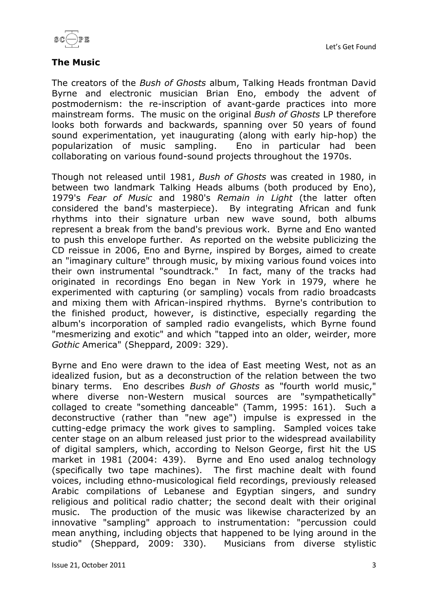



# **The Music**

The creators of the *Bush of Ghosts* album, Talking Heads frontman David Byrne and electronic musician Brian Eno, embody the advent of postmodernism: the re-inscription of avant-garde practices into more mainstream forms. The music on the original *Bush of Ghosts* LP therefore looks both forwards and backwards, spanning over 50 years of found sound experimentation, yet inaugurating (along with early hip-hop) the popularization of music sampling. Eno in particular had been collaborating on various found-sound projects throughout the 1970s.

Though not released until 1981, *Bush of Ghosts* was created in 1980, in between two landmark Talking Heads albums (both produced by Eno), 1979's *Fear of Music* and 1980's *Remain in Light* (the latter often considered the band's masterpiece). By integrating African and funk rhythms into their signature urban new wave sound, both albums represent a break from the band's previous work. Byrne and Eno wanted to push this envelope further. As reported on the website publicizing the CD reissue in 2006, Eno and Byrne, inspired by Borges, aimed to create an "imaginary culture" through music, by mixing various found voices into their own instrumental "soundtrack." In fact, many of the tracks had originated in recordings Eno began in New York in 1979, where he experimented with capturing (or sampling) vocals from radio broadcasts and mixing them with African-inspired rhythms. Byrne's contribution to the finished product, however, is distinctive, especially regarding the album's incorporation of sampled radio evangelists, which Byrne found "mesmerizing and exotic" and which "tapped into an older, weirder, more *Gothic* America" (Sheppard, 2009: 329).

Byrne and Eno were drawn to the idea of East meeting West, not as an idealized fusion, but as a deconstruction of the relation between the two binary terms. Eno describes *Bush of Ghosts* as "fourth world music," where diverse non-Western musical sources are "sympathetically" collaged to create "something danceable" (Tamm, 1995: 161). Such a deconstructive (rather than "new age") impulse is expressed in the cutting-edge primacy the work gives to sampling. Sampled voices take center stage on an album released just prior to the widespread availability of digital samplers, which, according to Nelson George, first hit the US market in 1981 (2004: 439). Byrne and Eno used analog technology (specifically two tape machines). The first machine dealt with found voices, including ethno-musicological field recordings, previously released Arabic compilations of Lebanese and Egyptian singers, and sundry religious and political radio chatter; the second dealt with their original music. The production of the music was likewise characterized by an innovative "sampling" approach to instrumentation: "percussion could mean anything, including objects that happened to be lying around in the studio" (Sheppard, 2009: 330). Musicians from diverse stylistic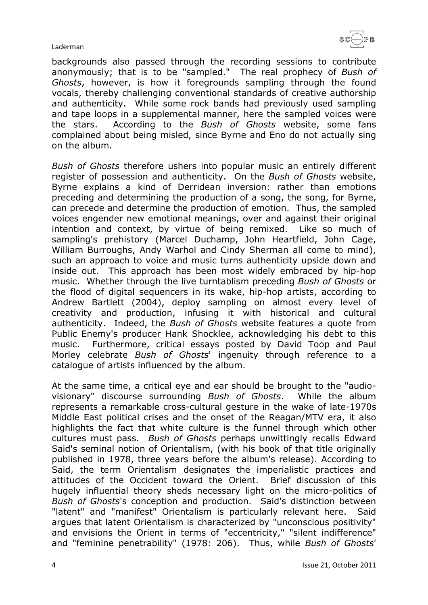backgrounds also passed through the recording sessions to contribute anonymously; that is to be "sampled." The real prophecy of *Bush of Ghosts*, however, is how it foregrounds sampling through the found vocals, thereby challenging conventional standards of creative authorship and authenticity. While some rock bands had previously used sampling and tape loops in a supplemental manner, here the sampled voices were the stars. According to the *Bush of Ghosts* website, some fans complained about being misled, since Byrne and Eno do not actually sing on the album.

*Bush of Ghosts* therefore ushers into popular music an entirely different register of possession and authenticity. On the *Bush of Ghosts* website, Byrne explains a kind of Derridean inversion: rather than emotions preceding and determining the production of a song, the song, for Byrne, can precede and determine the production of emotion. Thus, the sampled voices engender new emotional meanings, over and against their original intention and context, by virtue of being remixed. Like so much of sampling's prehistory (Marcel Duchamp, John Heartfield, John Cage, William Burroughs, Andy Warhol and Cindy Sherman all come to mind), such an approach to voice and music turns authenticity upside down and inside out. This approach has been most widely embraced by hip-hop music. Whether through the live turntablism preceding *Bush of Ghosts* or the flood of digital sequencers in its wake, hip-hop artists, according to Andrew Bartlett (2004), deploy sampling on almost every level of creativity and production, infusing it with historical and cultural authenticity. Indeed, the *Bush of Ghosts* website features a quote from Public Enemy's producer Hank Shocklee, acknowledging his debt to this music. Furthermore, critical essays posted by David Toop and Paul Morley celebrate *Bush of Ghosts*' ingenuity through reference to a catalogue of artists influenced by the album.

At the same time, a critical eye and ear should be brought to the "audiovisionary" discourse surrounding *Bush of Ghosts*. While the album represents a remarkable cross-cultural gesture in the wake of late-1970s Middle East political crises and the onset of the Reagan/MTV era, it also highlights the fact that white culture is the funnel through which other cultures must pass. *Bush of Ghosts* perhaps unwittingly recalls Edward Said's seminal notion of Orientalism, (with his book of that title originally published in 1978, three years before the album's release). According to Said, the term Orientalism designates the imperialistic practices and attitudes of the Occident toward the Orient. Brief discussion of this hugely influential theory sheds necessary light on the micro-politics of *Bush of Ghosts*'s conception and production. Said's distinction between "latent" and "manifest" Orientalism is particularly relevant here. Said argues that latent Orientalism is characterized by "unconscious positivity" and envisions the Orient in terms of "eccentricity," "silent indifference" and "feminine penetrability" (1978: 206). Thus, while *Bush of Ghosts*'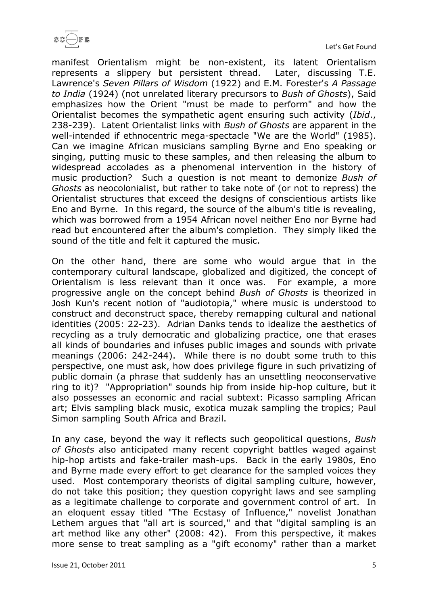

manifest Orientalism might be non-existent, its latent Orientalism represents a slippery but persistent thread. Later, discussing T.E. Lawrence's *Seven Pillars of Wisdom* (1922) and E.M. Forester's *A Passage to India* (1924) (not unrelated literary precursors to *Bush of Ghosts*), Said emphasizes how the Orient "must be made to perform" and how the Orientalist becomes the sympathetic agent ensuring such activity (*Ibid*., 238-239). Latent Orientalist links with *Bush of Ghosts* are apparent in the well-intended if ethnocentric mega-spectacle "We are the World" (1985). Can we imagine African musicians sampling Byrne and Eno speaking or singing, putting music to these samples, and then releasing the album to widespread accolades as a phenomenal intervention in the history of music production? Such a question is not meant to demonize *Bush of Ghosts* as neocolonialist, but rather to take note of (or not to repress) the Orientalist structures that exceed the designs of conscientious artists like Eno and Byrne. In this regard, the source of the album's title is revealing, which was borrowed from a 1954 African novel neither Eno nor Byrne had read but encountered after the album's completion. They simply liked the sound of the title and felt it captured the music.

On the other hand, there are some who would argue that in the contemporary cultural landscape, globalized and digitized, the concept of Orientalism is less relevant than it once was. For example, a more progressive angle on the concept behind *Bush of Ghosts* is theorized in Josh Kun's recent notion of "audiotopia," where music is understood to construct and deconstruct space, thereby remapping cultural and national identities (2005: 22-23). Adrian Danks tends to idealize the aesthetics of recycling as a truly democratic and globalizing practice, one that erases all kinds of boundaries and infuses public images and sounds with private meanings (2006: 242-244). While there is no doubt some truth to this perspective, one must ask, how does privilege figure in such privatizing of public domain (a phrase that suddenly has an unsettling neoconservative ring to it)? "Appropriation" sounds hip from inside hip-hop culture, but it also possesses an economic and racial subtext: Picasso sampling African art; Elvis sampling black music, exotica muzak sampling the tropics; Paul Simon sampling South Africa and Brazil.

In any case, beyond the way it reflects such geopolitical questions, *Bush of Ghosts* also anticipated many recent copyright battles waged against hip-hop artists and fake-trailer mash-ups. Back in the early 1980s, Eno and Byrne made every effort to get clearance for the sampled voices they used. Most contemporary theorists of digital sampling culture, however, do not take this position; they question copyright laws and see sampling as a legitimate challenge to corporate and government control of art. In an eloquent essay titled "The Ecstasy of Influence," novelist Jonathan Lethem argues that "all art is sourced," and that "digital sampling is an art method like any other" (2008: 42). From this perspective, it makes more sense to treat sampling as a "gift economy" rather than a market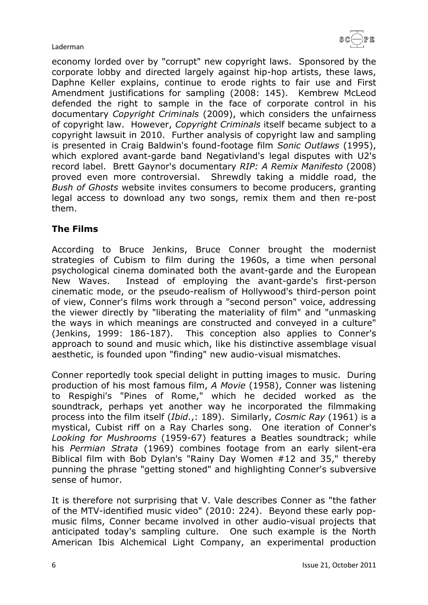

economy lorded over by "corrupt" new copyright laws. Sponsored by the corporate lobby and directed largely against hip-hop artists, these laws, Daphne Keller explains, continue to erode rights to fair use and First Amendment justifications for sampling (2008: 145). Kembrew McLeod defended the right to sample in the face of corporate control in his documentary *Copyright Criminals* (2009), which considers the unfairness of copyright law. However, *Copyright Criminals* itself became subject to a copyright lawsuit in 2010. Further analysis of copyright law and sampling is presented in Craig Baldwin's found-footage film *Sonic Outlaws* (1995), which explored avant-garde band Negativland's legal disputes with U2's record label. Brett Gaynor's documentary *RIP: A Remix Manifesto* (2008) proved even more controversial. Shrewdly taking a middle road, the *Bush of Ghosts* website invites consumers to become producers, granting legal access to download any two songs, remix them and then re-post them.

# **The Films**

According to Bruce Jenkins, Bruce Conner brought the modernist strategies of Cubism to film during the 1960s, a time when personal psychological cinema dominated both the avant-garde and the European New Waves. Instead of employing the avant-garde's first-person cinematic mode, or the pseudo-realism of Hollywood's third-person point of view, Conner's films work through a "second person" voice, addressing the viewer directly by "liberating the materiality of film" and "unmasking the ways in which meanings are constructed and conveyed in a culture" (Jenkins, 1999: 186-187). This conception also applies to Conner's approach to sound and music which, like his distinctive assemblage visual aesthetic, is founded upon "finding" new audio-visual mismatches.

Conner reportedly took special delight in putting images to music. During production of his most famous film, *A Movie* (1958), Conner was listening to Respighi's "Pines of Rome," which he decided worked as the soundtrack, perhaps yet another way he incorporated the filmmaking process into the film itself (*Ibid*.,: 189). Similarly, *Cosmic Ray* (1961) is a mystical, Cubist riff on a Ray Charles song. One iteration of Conner's *Looking for Mushrooms* (1959-67) features a Beatles soundtrack; while his *Permian Strata* (1969) combines footage from an early silent-era Biblical film with Bob Dylan's "Rainy Day Women #12 and 35," thereby punning the phrase "getting stoned" and highlighting Conner's subversive sense of humor.

It is therefore not surprising that V. Vale describes Conner as "the father of the MTV-identified music video" (2010: 224). Beyond these early popmusic films, Conner became involved in other audio-visual projects that anticipated today's sampling culture. One such example is the North American Ibis Alchemical Light Company, an experimental production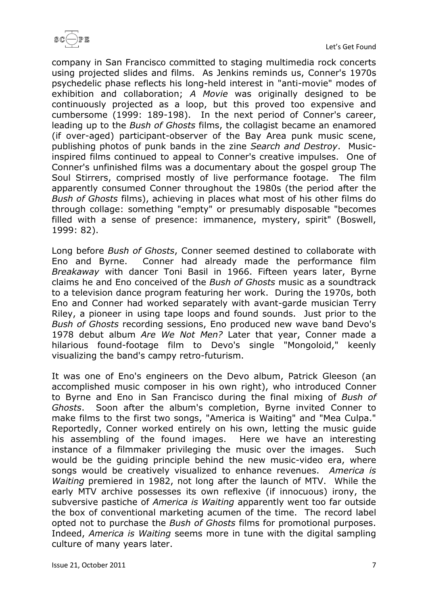

company in San Francisco committed to staging multimedia rock concerts using projected slides and films. As Jenkins reminds us, Conner's 1970s psychedelic phase reflects his long-held interest in "anti-movie" modes of exhibition and collaboration; *A Movie* was originally designed to be continuously projected as a loop, but this proved too expensive and cumbersome (1999: 189-198). In the next period of Conner's career, leading up to the *Bush of Ghosts* films, the collagist became an enamored (if over-aged) participant-observer of the Bay Area punk music scene, publishing photos of punk bands in the zine *Search and Destroy*. Musicinspired films continued to appeal to Conner's creative impulses. One of Conner's unfinished films was a documentary about the gospel group The Soul Stirrers, comprised mostly of live performance footage. The film apparently consumed Conner throughout the 1980s (the period after the *Bush of Ghosts* films), achieving in places what most of his other films do through collage: something "empty" or presumably disposable "becomes filled with a sense of presence: immanence, mystery, spirit" (Boswell, 1999: 82).

Long before *Bush of Ghosts*, Conner seemed destined to collaborate with Eno and Byrne. Conner had already made the performance film *Breakaway* with dancer Toni Basil in 1966. Fifteen years later, Byrne claims he and Eno conceived of the *Bush of Ghosts* music as a soundtrack to a television dance program featuring her work. During the 1970s, both Eno and Conner had worked separately with avant-garde musician Terry Riley, a pioneer in using tape loops and found sounds. Just prior to the *Bush of Ghosts* recording sessions, Eno produced new wave band Devo's 1978 debut album *Are We Not Men?* Later that year, Conner made a hilarious found-footage film to Devo's single "Mongoloid," keenly visualizing the band's campy retro-futurism.

It was one of Eno's engineers on the Devo album, Patrick Gleeson (an accomplished music composer in his own right), who introduced Conner to Byrne and Eno in San Francisco during the final mixing of *Bush of Ghosts*. Soon after the album's completion, Byrne invited Conner to make films to the first two songs, "America is Waiting" and "Mea Culpa." Reportedly, Conner worked entirely on his own, letting the music guide his assembling of the found images. Here we have an interesting instance of a filmmaker privileging the music over the images. Such would be the guiding principle behind the new music-video era, where songs would be creatively visualized to enhance revenues. *America is Waiting* premiered in 1982, not long after the launch of MTV. While the early MTV archive possesses its own reflexive (if innocuous) irony, the subversive pastiche of *America is Waiting* apparently went too far outside the box of conventional marketing acumen of the time. The record label opted not to purchase the *Bush of Ghosts* films for promotional purposes. Indeed, *America is Waiting* seems more in tune with the digital sampling culture of many years later.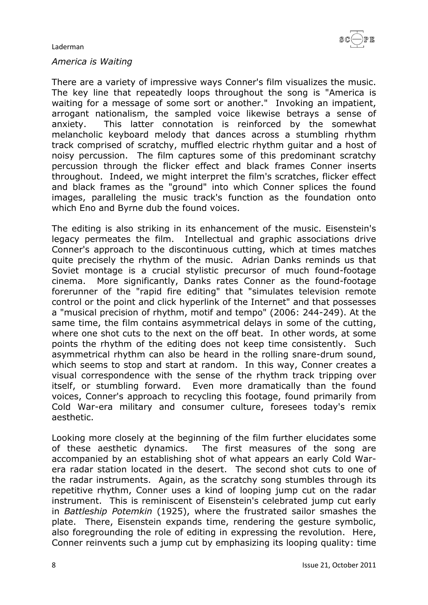

#### *America is Waiting*

There are a variety of impressive ways Conner's film visualizes the music. The key line that repeatedly loops throughout the song is "America is waiting for a message of some sort or another." Invoking an impatient, arrogant nationalism, the sampled voice likewise betrays a sense of anxiety. This latter connotation is reinforced by the somewhat melancholic keyboard melody that dances across a stumbling rhythm track comprised of scratchy, muffled electric rhythm guitar and a host of noisy percussion. The film captures some of this predominant scratchy percussion through the flicker effect and black frames Conner inserts throughout. Indeed, we might interpret the film's scratches, flicker effect and black frames as the "ground" into which Conner splices the found images, paralleling the music track's function as the foundation onto which Eno and Byrne dub the found voices.

The editing is also striking in its enhancement of the music. Eisenstein's legacy permeates the film. Intellectual and graphic associations drive Conner's approach to the discontinuous cutting, which at times matches quite precisely the rhythm of the music. Adrian Danks reminds us that Soviet montage is a crucial stylistic precursor of much found-footage cinema. More significantly, Danks rates Conner as the found-footage forerunner of the "rapid fire editing" that "simulates television remote control or the point and click hyperlink of the Internet" and that possesses a "musical precision of rhythm, motif and tempo" (2006: 244-249). At the same time, the film contains asymmetrical delays in some of the cutting, where one shot cuts to the next on the off beat. In other words, at some points the rhythm of the editing does not keep time consistently. Such asymmetrical rhythm can also be heard in the rolling snare-drum sound, which seems to stop and start at random. In this way, Conner creates a visual correspondence with the sense of the rhythm track tripping over itself, or stumbling forward. Even more dramatically than the found voices, Conner's approach to recycling this footage, found primarily from Cold War-era military and consumer culture, foresees today's remix aesthetic.

Looking more closely at the beginning of the film further elucidates some of these aesthetic dynamics. The first measures of the song are accompanied by an establishing shot of what appears an early Cold Warera radar station located in the desert. The second shot cuts to one of the radar instruments. Again, as the scratchy song stumbles through its repetitive rhythm, Conner uses a kind of looping jump cut on the radar instrument. This is reminiscent of Eisenstein's celebrated jump cut early in *Battleship Potemkin* (1925), where the frustrated sailor smashes the plate. There, Eisenstein expands time, rendering the gesture symbolic, also foregrounding the role of editing in expressing the revolution. Here, Conner reinvents such a jump cut by emphasizing its looping quality: time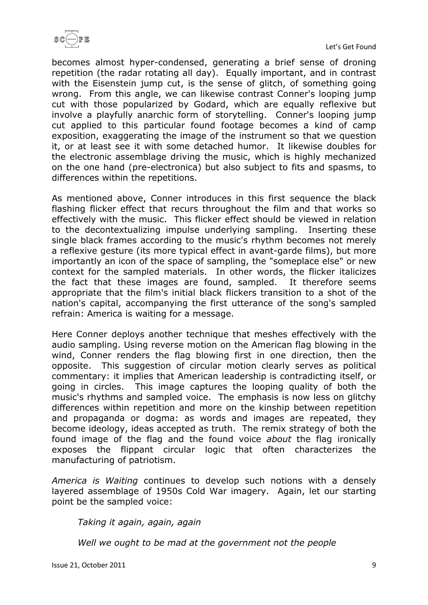

becomes almost hyper-condensed, generating a brief sense of droning repetition (the radar rotating all day). Equally important, and in contrast with the Eisenstein jump cut, is the sense of glitch, of something going wrong. From this angle, we can likewise contrast Conner's looping jump cut with those popularized by Godard, which are equally reflexive but involve a playfully anarchic form of storytelling. Conner's looping jump cut applied to this particular found footage becomes a kind of camp exposition, exaggerating the image of the instrument so that we question it, or at least see it with some detached humor. It likewise doubles for the electronic assemblage driving the music, which is highly mechanized on the one hand (pre-electronica) but also subject to fits and spasms, to differences within the repetitions.

As mentioned above, Conner introduces in this first sequence the black flashing flicker effect that recurs throughout the film and that works so effectively with the music. This flicker effect should be viewed in relation to the decontextualizing impulse underlying sampling. Inserting these single black frames according to the music's rhythm becomes not merely a reflexive gesture (its more typical effect in avant-garde films), but more importantly an icon of the space of sampling, the "someplace else" or new context for the sampled materials. In other words, the flicker italicizes the fact that these images are found, sampled. It therefore seems appropriate that the film's initial black flickers transition to a shot of the nation's capital, accompanying the first utterance of the song's sampled refrain: America is waiting for a message.

Here Conner deploys another technique that meshes effectively with the audio sampling. Using reverse motion on the American flag blowing in the wind, Conner renders the flag blowing first in one direction, then the opposite. This suggestion of circular motion clearly serves as political commentary: it implies that American leadership is contradicting itself, or going in circles. This image captures the looping quality of both the music's rhythms and sampled voice. The emphasis is now less on glitchy differences within repetition and more on the kinship between repetition and propaganda or dogma: as words and images are repeated, they become ideology, ideas accepted as truth. The remix strategy of both the found image of the flag and the found voice *about* the flag ironically exposes the flippant circular logic that often characterizes the manufacturing of patriotism.

*America is Waiting* continues to develop such notions with a densely layered assemblage of 1950s Cold War imagery. Again, let our starting point be the sampled voice:

*Taking it again, again, again*

*Well we ought to be mad at the government not the people*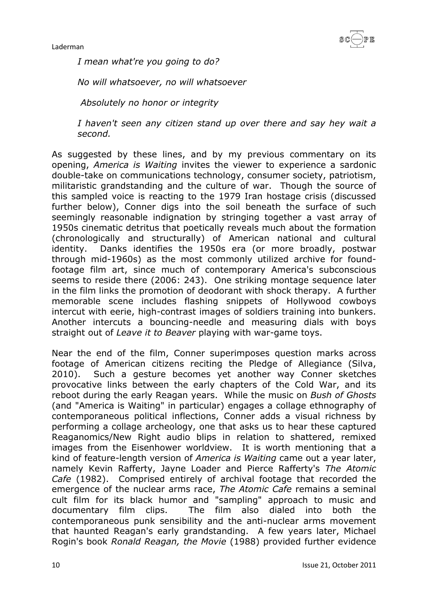*I mean what're you going to do?*

*No will whatsoever, no will whatsoever*

*Absolutely no honor or integrity*

*I haven't seen any citizen stand up over there and say hey wait a second.*

As suggested by these lines, and by my previous commentary on its opening, *America is Waiting* invites the viewer to experience a sardonic double-take on communications technology, consumer society, patriotism, militaristic grandstanding and the culture of war. Though the source of this sampled voice is reacting to the 1979 Iran hostage crisis (discussed further below), Conner digs into the soil beneath the surface of such seemingly reasonable indignation by stringing together a vast array of 1950s cinematic detritus that poetically reveals much about the formation (chronologically and structurally) of American national and cultural identity. Danks identifies the 1950s era (or more broadly, postwar through mid-1960s) as the most commonly utilized archive for foundfootage film art, since much of contemporary America's subconscious seems to reside there (2006: 243). One striking montage sequence later in the film links the promotion of deodorant with shock therapy. A further memorable scene includes flashing snippets of Hollywood cowboys intercut with eerie, high-contrast images of soldiers training into bunkers. Another intercuts a bouncing-needle and measuring dials with boys straight out of *Leave it to Beaver* playing with war-game toys.

Near the end of the film, Conner superimposes question marks across footage of American citizens reciting the Pledge of Allegiance (Silva, 2010). Such a gesture becomes yet another way Conner sketches provocative links between the early chapters of the Cold War, and its reboot during the early Reagan years. While the music on *Bush of Ghosts* (and "America is Waiting" in particular) engages a collage ethnography of contemporaneous political inflections, Conner adds a visual richness by performing a collage archeology, one that asks us to hear these captured Reaganomics/New Right audio blips in relation to shattered, remixed images from the Eisenhower worldview. It is worth mentioning that a kind of feature-length version of *America is Waiting* came out a year later, namely Kevin Rafferty, Jayne Loader and Pierce Rafferty's *The Atomic Cafe* (1982). Comprised entirely of archival footage that recorded the emergence of the nuclear arms race, *The Atomic Cafe* remains a seminal cult film for its black humor and "sampling" approach to music and documentary film clips. The film also dialed into both the contemporaneous punk sensibility and the anti-nuclear arms movement that haunted Reagan's early grandstanding. A few years later, Michael Rogin's book *Ronald Reagan, the Movie* (1988) provided further evidence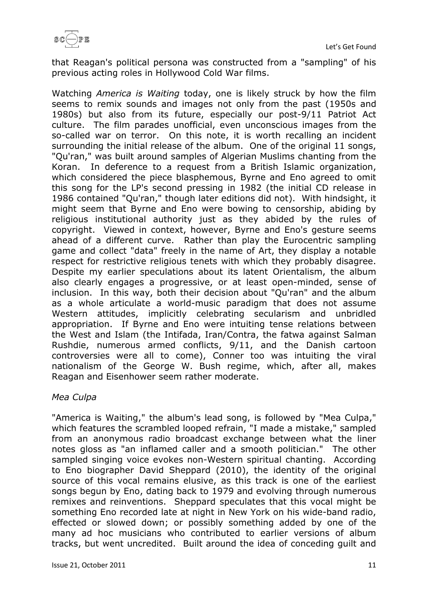

that Reagan's political persona was constructed from a "sampling" of his previous acting roles in Hollywood Cold War films.

Watching *America is Waiting* today, one is likely struck by how the film seems to remix sounds and images not only from the past (1950s and 1980s) but also from its future, especially our post-9/11 Patriot Act culture. The film parades unofficial, even unconscious images from the so-called war on terror. On this note, it is worth recalling an incident surrounding the initial release of the album. One of the original 11 songs, "Qu'ran," was built around samples of Algerian Muslims chanting from the Koran. In deference to a request from a British Islamic organization, which considered the piece blasphemous, Byrne and Eno agreed to omit this song for the LP's second pressing in 1982 (the initial CD release in 1986 contained "Qu'ran," though later editions did not). With hindsight, it might seem that Byrne and Eno were bowing to censorship, abiding by religious institutional authority just as they abided by the rules of copyright. Viewed in context, however, Byrne and Eno's gesture seems ahead of a different curve. Rather than play the Eurocentric sampling game and collect "data" freely in the name of Art, they display a notable respect for restrictive religious tenets with which they probably disagree. Despite my earlier speculations about its latent Orientalism, the album also clearly engages a progressive, or at least open-minded, sense of inclusion. In this way, both their decision about "Qu'ran" and the album as a whole articulate a world-music paradigm that does not assume Western attitudes, implicitly celebrating secularism and unbridled appropriation. If Byrne and Eno were intuiting tense relations between the West and Islam (the Intifada, Iran/Contra, the fatwa against Salman Rushdie, numerous armed conflicts, 9/11, and the Danish cartoon controversies were all to come), Conner too was intuiting the viral nationalism of the George W. Bush regime, which, after all, makes Reagan and Eisenhower seem rather moderate.

## *Mea Culpa*

"America is Waiting," the album's lead song, is followed by "Mea Culpa," which features the scrambled looped refrain, "I made a mistake," sampled from an anonymous radio broadcast exchange between what the liner notes gloss as "an inflamed caller and a smooth politician." The other sampled singing voice evokes non-Western spiritual chanting. According to Eno biographer David Sheppard (2010), the identity of the original source of this vocal remains elusive, as this track is one of the earliest songs begun by Eno, dating back to 1979 and evolving through numerous remixes and reinventions. Sheppard speculates that this vocal might be something Eno recorded late at night in New York on his wide-band radio, effected or slowed down; or possibly something added by one of the many ad hoc musicians who contributed to earlier versions of album tracks, but went uncredited. Built around the idea of conceding guilt and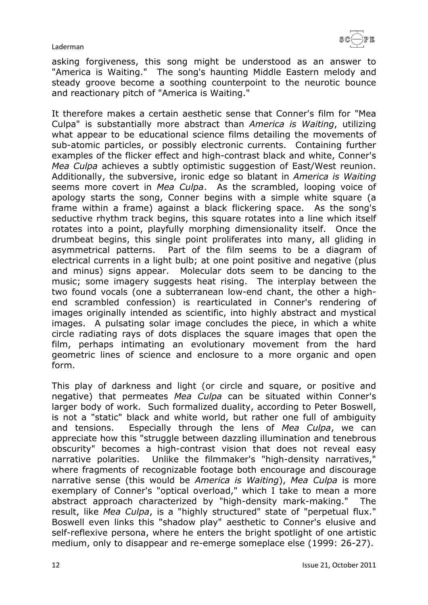asking forgiveness, this song might be understood as an answer to "America is Waiting." The song's haunting Middle Eastern melody and steady groove become a soothing counterpoint to the neurotic bounce and reactionary pitch of "America is Waiting."

It therefore makes a certain aesthetic sense that Conner's film for "Mea Culpa" is substantially more abstract than *America is Waiting*, utilizing what appear to be educational science films detailing the movements of sub-atomic particles, or possibly electronic currents. Containing further examples of the flicker effect and high-contrast black and white, Conner's *Mea Culpa* achieves a subtly optimistic suggestion of East/West reunion. Additionally, the subversive, ironic edge so blatant in *America is Waiting* seems more covert in *Mea Culpa*. As the scrambled, looping voice of apology starts the song, Conner begins with a simple white square (a frame within a frame) against a black flickering space. As the song's seductive rhythm track begins, this square rotates into a line which itself rotates into a point, playfully morphing dimensionality itself. Once the drumbeat begins, this single point proliferates into many, all gliding in asymmetrical patterns. Part of the film seems to be a diagram of electrical currents in a light bulb; at one point positive and negative (plus and minus) signs appear. Molecular dots seem to be dancing to the music; some imagery suggests heat rising. The interplay between the two found vocals (one a subterranean low-end chant, the other a highend scrambled confession) is rearticulated in Conner's rendering of images originally intended as scientific, into highly abstract and mystical images. A pulsating solar image concludes the piece, in which a white circle radiating rays of dots displaces the square images that open the film, perhaps intimating an evolutionary movement from the hard geometric lines of science and enclosure to a more organic and open form.

This play of darkness and light (or circle and square, or positive and negative) that permeates *Mea Culpa* can be situated within Conner's larger body of work. Such formalized duality, according to Peter Boswell, is not a "static" black and white world, but rather one full of ambiguity and tensions. Especially through the lens of *Mea Culpa*, we can appreciate how this "struggle between dazzling illumination and tenebrous obscurity" becomes a high-contrast vision that does not reveal easy narrative polarities. Unlike the filmmaker's "high-density narratives," where fragments of recognizable footage both encourage and discourage narrative sense (this would be *America is Waiting*), *Mea Culpa* is more exemplary of Conner's "optical overload," which I take to mean a more abstract approach characterized by "high-density mark-making." The result, like *Mea Culpa*, is a "highly structured" state of "perpetual flux." Boswell even links this "shadow play" aesthetic to Conner's elusive and self-reflexive persona, where he enters the bright spotlight of one artistic medium, only to disappear and re-emerge someplace else (1999: 26-27).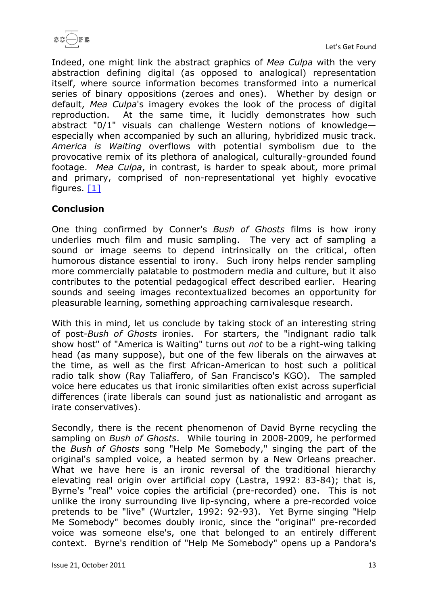

Indeed, one might link the abstract graphics of *Mea Culpa* with the very abstraction defining digital (as opposed to analogical) representation itself, where source information becomes transformed into a numerical series of binary oppositions (zeroes and ones). Whether by design or default, *Mea Culpa*'s imagery evokes the look of the process of digital reproduction. At the same time, it lucidly demonstrates how such abstract "0/1" visuals can challenge Western notions of knowledge especially when accompanied by such an alluring, hybridized music track. *America is Waiting* overflows with potential symbolism due to the provocative remix of its plethora of analogical, culturally-grounded found footage. *Mea Culpa*, in contrast, is harder to speak about, more primal and primary, comprised of non-representational yet highly evocative figures. [\[1\]](http://www.scope.nottingham.ac.uk/proof/laderman#1)

# **Conclusion**

One thing confirmed by Conner's *Bush of Ghosts* films is how irony underlies much film and music sampling. The very act of sampling a sound or image seems to depend intrinsically on the critical, often humorous distance essential to irony. Such irony helps render sampling more commercially palatable to postmodern media and culture, but it also contributes to the potential pedagogical effect described earlier. Hearing sounds and seeing images recontextualized becomes an opportunity for pleasurable learning, something approaching carnivalesque research.

With this in mind, let us conclude by taking stock of an interesting string of post-*Bush of Ghosts* ironies. For starters, the "indignant radio talk show host" of "America is Waiting" turns out *not* to be a right-wing talking head (as many suppose), but one of the few liberals on the airwaves at the time, as well as the first African-American to host such a political radio talk show (Ray Taliaffero, of San Francisco's KGO). The sampled voice here educates us that ironic similarities often exist across superficial differences (irate liberals can sound just as nationalistic and arrogant as irate conservatives).

Secondly, there is the recent phenomenon of David Byrne recycling the sampling on *Bush of Ghosts*. While touring in 2008-2009, he performed the *Bush of Ghosts* song "Help Me Somebody," singing the part of the original's sampled voice, a heated sermon by a New Orleans preacher. What we have here is an ironic reversal of the traditional hierarchy elevating real origin over artificial copy (Lastra, 1992: 83-84); that is, Byrne's "real" voice copies the artificial (pre-recorded) one. This is not unlike the irony surrounding live lip-syncing, where a pre-recorded voice pretends to be "live" (Wurtzler, 1992: 92-93). Yet Byrne singing "Help Me Somebody" becomes doubly ironic, since the "original" pre-recorded voice was someone else's, one that belonged to an entirely different context. Byrne's rendition of "Help Me Somebody" opens up a Pandora's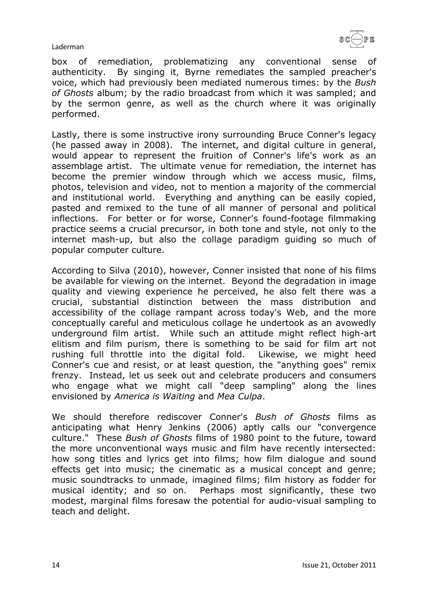

box of remediation, problematizing any conventional sense of authenticity. By singing it, Byrne remediates the sampled preacher's voice, which had previously been mediated numerous times: by the *Bush of Ghosts* album; by the radio broadcast from which it was sampled; and by the sermon genre, as well as the church where it was originally performed.

Lastly, there is some instructive irony surrounding Bruce Conner's legacy (he passed away in 2008). The internet, and digital culture in general, would appear to represent the fruition of Conner's life's work as an assemblage artist. The ultimate venue for remediation, the internet has become the premier window through which we access music, films, photos, television and video, not to mention a majority of the commercial and institutional world. Everything and anything can be easily copied, pasted and remixed to the tune of all manner of personal and political inflections. For better or for worse, Conner's found-footage filmmaking practice seems a crucial precursor, in both tone and style, not only to the internet mash-up, but also the collage paradigm guiding so much of popular computer culture.

According to Silva (2010), however, Conner insisted that none of his films be available for viewing on the internet. Beyond the degradation in image quality and viewing experience he perceived, he also felt there was a crucial, substantial distinction between the mass distribution and accessibility of the collage rampant across today's Web, and the more conceptually careful and meticulous collage he undertook as an avowedly underground film artist. While such an attitude might reflect high-art elitism and film purism, there is something to be said for film art not rushing full throttle into the digital fold. Likewise, we might heed Conner's cue and resist, or at least question, the "anything goes" remix frenzy. Instead, let us seek out and celebrate producers and consumers who engage what we might call "deep sampling" along the lines envisioned by *America is Waiting* and *Mea Culpa*.

We should therefore rediscover Conner's *Bush of Ghosts* films as anticipating what Henry Jenkins (2006) aptly calls our "convergence culture." These *Bush of Ghosts* films of 1980 point to the future, toward the more unconventional ways music and film have recently intersected: how song titles and lyrics get into films; how film dialogue and sound effects get into music; the cinematic as a musical concept and genre; music soundtracks to unmade, imagined films; film history as fodder for musical identity; and so on. Perhaps most significantly, these two modest, marginal films foresaw the potential for audio-visual sampling to teach and delight.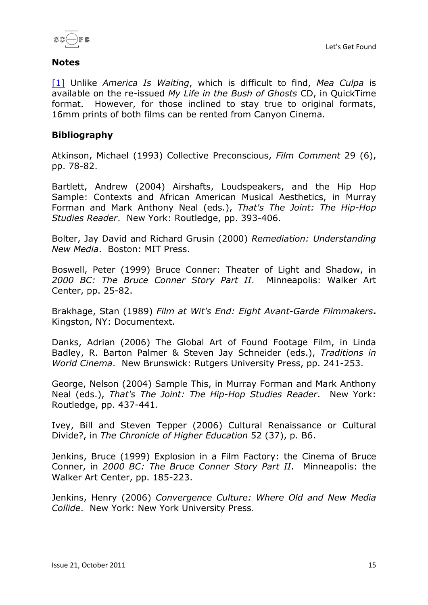



### **Notes**

[\[1\]](http://www.scope.nottingham.ac.uk/proof/laderman#n1) Unlike *America Is Waiting*, which is difficult to find, *Mea Culpa* is available on the re-issued *My Life in the Bush of Ghosts* CD, in QuickTime format. However, for those inclined to stay true to original formats, 16mm prints of both films can be rented from Canyon Cinema.

## **Bibliography**

Atkinson, Michael (1993) Collective Preconscious, *Film Comment* 29 (6), pp. 78-82.

Bartlett, Andrew (2004) Airshafts, Loudspeakers, and the Hip Hop Sample: Contexts and African American Musical Aesthetics, in Murray Forman and Mark Anthony Neal (eds.), *That's The Joint: The Hip-Hop Studies Reader*. New York: Routledge, pp. 393-406.

Bolter, Jay David and Richard Grusin (2000) *Remediation: Understanding New Media*. Boston: MIT Press.

Boswell, Peter (1999) Bruce Conner: Theater of Light and Shadow, in *2000 BC: The Bruce Conner Story Part II*. Minneapolis: Walker Art Center, pp. 25-82.

Brakhage, Stan (1989) *Film at Wit's End: Eight Avant-Garde Filmmakers***.**  Kingston, NY: Documentext.

Danks, Adrian (2006) The Global Art of Found Footage Film, in Linda Badley, R. Barton Palmer & Steven Jay Schneider (eds.), *Traditions in World Cinema*. New Brunswick: Rutgers University Press, pp. 241-253.

George, Nelson (2004) Sample This, in Murray Forman and Mark Anthony Neal (eds.), *That's The Joint: The Hip-Hop Studies Reader*. New York: Routledge, pp. 437-441.

Ivey, Bill and Steven Tepper (2006) Cultural Renaissance or Cultural Divide?, in *The Chronicle of Higher Education* 52 (37), p. B6.

Jenkins, Bruce (1999) Explosion in a Film Factory: the Cinema of Bruce Conner, in *2000 BC: The Bruce Conner Story Part II*. Minneapolis: the Walker Art Center, pp. 185-223.

Jenkins, Henry (2006) *Convergence Culture: Where Old and New Media Collide*. New York: New York University Press.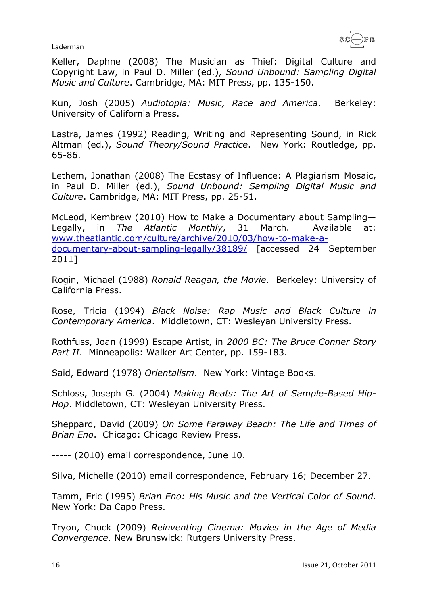

Keller, Daphne (2008) The Musician as Thief: Digital Culture and Copyright Law, in Paul D. Miller (ed.), *Sound Unbound: Sampling Digital Music and Culture*. Cambridge, MA: MIT Press, pp. 135-150.

Kun, Josh (2005) *Audiotopia: Music, Race and America*. Berkeley: University of California Press.

Lastra, James (1992) Reading, Writing and Representing Sound, in Rick Altman (ed.), *Sound Theory/Sound Practice*. New York: Routledge, pp. 65-86.

Lethem, Jonathan (2008) The Ecstasy of Influence: A Plagiarism Mosaic, in Paul D. Miller (ed.), *Sound Unbound: Sampling Digital Music and Culture*. Cambridge, MA: MIT Press, pp. 25-51.

McLeod, Kembrew (2010) How to Make a Documentary about Sampling— Legally, in *The Atlantic Monthly*, 31 March. Available at: [www.theatlantic.com/culture/archive/2010/03/how-to-make-a](http://www.theatlantic.com/culture/archive/2010/03/how-to-make-a-documentary-about-sampling-legally/38189/)[documentary-about-sampling-legally/38189/](http://www.theatlantic.com/culture/archive/2010/03/how-to-make-a-documentary-about-sampling-legally/38189/) [accessed 24 September 2011]

Rogin, Michael (1988) *Ronald Reagan, the Movie*. Berkeley: University of California Press.

Rose, Tricia (1994) *Black Noise: Rap Music and Black Culture in Contemporary America*. Middletown, CT: Wesleyan University Press.

Rothfuss, Joan (1999) Escape Artist, in *2000 BC: The Bruce Conner Story Part II*. Minneapolis: Walker Art Center, pp. 159-183.

Said, Edward (1978) *Orientalism*. New York: Vintage Books.

Schloss, Joseph G. (2004) *Making Beats: The Art of Sample-Based Hip-Hop*. Middletown, CT: Wesleyan University Press.

Sheppard, David (2009) *On Some Faraway Beach: The Life and Times of Brian Eno*. Chicago: Chicago Review Press.

----- (2010) email correspondence, June 10.

Silva, Michelle (2010) email correspondence, February 16; December 27.

Tamm, Eric (1995) *Brian Eno: His Music and the Vertical Color of Sound*. New York: Da Capo Press.

Tryon, Chuck (2009) *Reinventing Cinema: Movies in the Age of Media Convergence*. New Brunswick: Rutgers University Press.